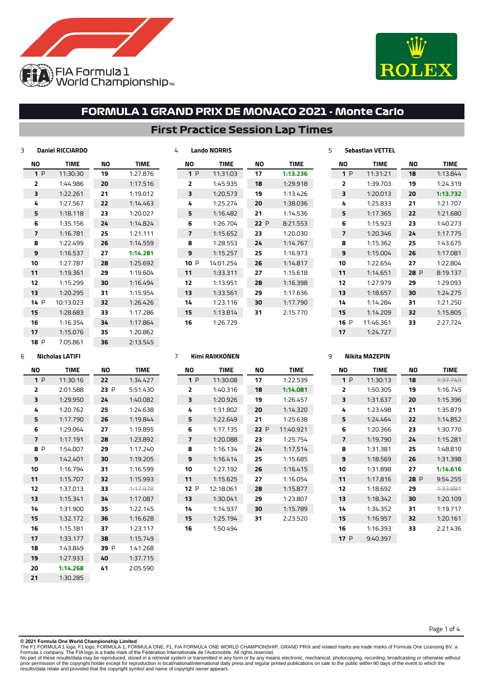



### **First Practice Session Lap Times**

| 3 |                          | <b>Daniel RICCIARDO</b> |    |             | 4 |                         | <b>Lando NORRIS</b> |      |             | 5 |                | <b>Sebastian VETTEL</b> |      |             |
|---|--------------------------|-------------------------|----|-------------|---|-------------------------|---------------------|------|-------------|---|----------------|-------------------------|------|-------------|
|   | NO                       | <b>TIME</b>             | ΝO | <b>TIME</b> |   | ΝO                      | <b>TIME</b>         | ΝO   | <b>TIME</b> |   | ΝO             | <b>TIME</b>             | NO   | <b>TIME</b> |
|   | 1P                       | 11:30:30                | 19 | 1:27.876    |   | 1P                      | 11:31:03            | 17   | 1:13.236    |   | 1P             | 11:31:21                | 18   | 1:13.844    |
|   | 2                        | 1:44.986                | 20 | 1:17.516    |   | $\overline{2}$          | 1:45.935            | 18   | 1:29.918    |   | 2              | 1:39.703                | 19   | 1:24.319    |
|   | з                        | 1:22.261                | 21 | 1:19.012    |   | 3                       | 1:20.573            | 19   | 1:13.426    |   | 3              | 1:20.013                | 20   | 1:13.732    |
|   | 4                        | 1:27.567                | 22 | 1:14.463    |   | 4                       | 1:25.274            | 20   | 1:38.036    |   | 4              | 1:25.833                | 21   | 1:21.707    |
|   | 5                        | 1:18.118                | 23 | 1:20.027    |   | 5                       | 1:16.482            | 21   | 1:14.536    |   | 5              | 1:17.365                | 22   | 1:21.680    |
|   | 6                        | 1:35.156                | 24 | 1:14.824    |   | 6                       | 1:26.704            | 22 P | 8:21.553    |   | 6              | 1:15.923                | 23   | 1:40.273    |
|   | $\overline{\phantom{a}}$ | 1:16.781                | 25 | 1:21.111    |   | $\overline{\mathbf{z}}$ | 1:15.652            | 23   | 1:20.030    |   | $\overline{7}$ | 1:20.346                | 24   | 1:17.775    |
|   | 8                        | 1:22.499                | 26 | 1:14.559    |   | 8                       | 1:28.553            | 24   | 1:14.767    |   | 8              | 1:15.362                | 25   | 1:43.675    |
|   | 9                        | 1:16.537                | 27 | 1:14.281    |   | 9                       | 1:15.257            | 25   | 1:16.973    |   | 9              | 1:15.004                | 26   | 1:17.081    |
|   | 10                       | 1:27.787                | 28 | 1:25.692    |   | 10 P                    | 14:01.254           | 26   | 1:14.817    |   | 10             | 1:22.654                | 27   | 1:22.804    |
|   | 11                       | 1:19.361                | 29 | 1:19.604    |   | 11                      | 1:33.311            | 27   | 1:15.618    |   | 11             | 1:14.651                | 28 P | 8:19.137    |
|   | 12                       | 1:15.299                | 30 | 1:16.494    |   | 12                      | 1:13.951            | 28   | 1:16.398    |   | 12             | 1:27.979                | 29   | 1:29.093    |
|   | 13                       | 1:20.295                | 31 | 1:15.954    |   | 13                      | 1:33.561            | 29   | 1:17.636    |   | 13             | 1:18.657                | 30   | 1:24.275    |
|   | 14 P                     | 10:13.023               | 32 | 1:26.426    |   | 14                      | 1:23.116            | 30   | 1:17.790    |   | 14             | 1:14.284                | 31   | 1:21.250    |
|   | 15                       | 1:28.683                | 33 | 1:17.286    |   | 15                      | 1:13.814            | 31   | 2:15.770    |   | 15             | 1:14.209                | 32   | 1:15.805    |
|   | 16                       | 1:16.354                | 34 | 1:17.864    |   | 16                      | 1:26.729            |      |             |   | 16 P           | 11:46.361               | 33   | 2:27.724    |
|   | 17                       | 1:15.076                | 35 | 1:20.862    |   |                         |                     |      |             |   | 17             | 1:24.727                |      |             |

#### **Nicholas LATIFI**

P 7:05.861

| NΟ             | <b>TIME</b> | NΟ      | <b>TIME</b> |
|----------------|-------------|---------|-------------|
| 1P             | 11:30:16    | 22      | 1:34.427    |
| $\overline{2}$ | 2:01.588    | 23 P    | 5:51.430    |
| 3              | 1:29.950    | 24      | 1:40.082    |
| 4              | 1:20.762    | 25      | 1:24.638    |
| 5              | 1:17.790    | 26      | 1:19.844    |
| 6              | 1:29.064    | 27      | 1:19.895    |
| 7              | 1:17.191    | 28      | 1:23.892    |
| я<br>P         | 1:54.007    | 29      | 1:17.740    |
| 9              | 1:42.401    | 30      | 1:19.205    |
| 10             | 1:16.794    | 31      | 1:16.599    |
| 11             | 1:15.707    | 32      | 1:15.993    |
| 12             | 1:37.013    | 33      | 1.17.978    |
| 13             | 1:15.341    | 34      | 1:17.087    |
| 14             | 1:31.900    | 35      | 1:22.145    |
| 15             | 1:32.172    | 36      | 1:16.628    |
| 16             | 1:15.181    | 37      | 1:23.117    |
| 17             | 1:33.177    | 38      | 1:15.749    |
| 18             | 1:43.849    | 39<br>P | 1:41.268    |
| 19             | 1:27.933    | 40      | 1:37.715    |
| 20             | 1:14.268    | 41      | 2:05.590    |
| 21             | 1:30.285    |         |             |

2:13.545

| ΝO  | <b>TIME</b> | NΟ  | <b>TIME</b> |
|-----|-------------|-----|-------------|
| 1P  | 11:30:08    | 17  | 1:22.539    |
| 2   | 1:40.316    | 18  | 1:14.081    |
| 3   | 1:20.926    | 19  | 1:26.457    |
| 4   | 1:31.802    | 20  | 1:14.320    |
| 5   | 1:22.649    | 21  | 1:25.638    |
| 6   | 1:17.135    | 22P | 11:40.921   |
| 7   | 1:20.088    | 23  | 1:25.754    |
| 8   | 1:16.134    | 24  | 1:17.514    |
| 9   | 1:16.414    | 25  | 1:15.685    |
| 10  | 1:27.192    | 26  | 1:16.415    |
| 11  | 1:15.625    | 27  | 1:16.054    |
| 12P | 12:18.061   | 28  | 1:15.877    |
| 13  | 1:30.041    | 29  | 1:23.807    |
| 14  | 1:14.937    | 30  | 1:15.789    |
| 15  | 1:25.194    | 31  | 2:23.520    |
| 16  | 1:50.494    |     |             |

**Kimi RAIKKONEN**

#### **Nikita MAZEPIN**

| NΟ                      | <b>TIMF</b> | NΟ   | <b>TIME</b> |
|-------------------------|-------------|------|-------------|
| 1P                      | 11:30:13    | 18   | 1.37.749    |
| $\overline{\mathbf{z}}$ | 1:50.305    | 19   | 1:16.745    |
| ₹                       | 1:31.637    | 20   | 1:15.396    |
| 4                       | 1:23.498    | 21   | 1:35.879    |
| 5                       | 1:24.464    | 22   | 1:14.852    |
| 6                       | 1:20.366    | 23   | 1:30.770    |
| 7                       | 1:19.790    | 24   | 1:15.281    |
| 8                       | 1:31.381    | 25   | 1:48.810    |
| 9                       | 1:18.569    | 26   | 1:31.398    |
| 10                      | 1:31.898    | 27   | 1:14.616    |
| 11                      | 1:17.816    | 28 P | 9:54.255    |
| 12                      | 1:18.692    | 29   | 1.33.881    |
| 13                      | 1:18.342    | 30   | 1:20.109    |
| 14                      | 1:34.352    | 31   | 1:19.717    |
| 15                      | 1:16.957    | 32   | 1:20.161    |
| 16                      | 1:16.393    | 33   | 2:21.436    |
| 17 P                    | 9:40.397    |      |             |

Page 1 of 4

**© 2021 Formula One World Championship Limited**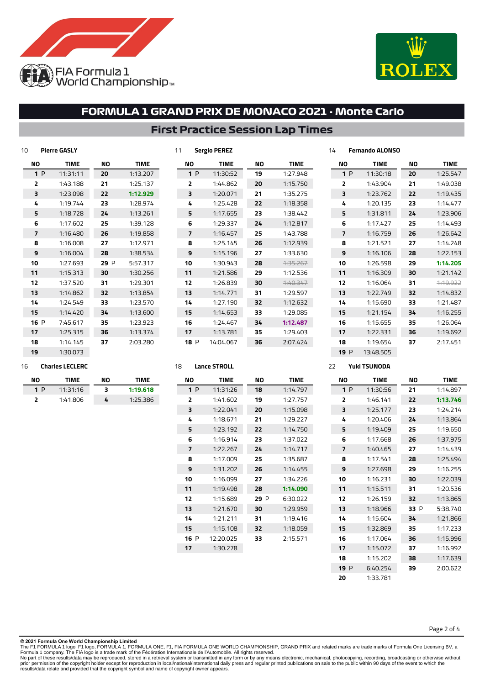



## **First Practice Session Lap Times**

| 10   | <b>Pierre GASLY</b> |      |             | 11 |                | <b>Sergio PEREZ</b> |           |             | 14 |                | <b>Fernando ALONSO</b> |    |             |
|------|---------------------|------|-------------|----|----------------|---------------------|-----------|-------------|----|----------------|------------------------|----|-------------|
| ΝO   | <b>TIME</b>         | ΝO   | <b>TIME</b> |    | ΝO             | <b>TIME</b>         | <b>NO</b> | <b>TIME</b> |    | ΝO             | <b>TIME</b>            | NO | <b>TIME</b> |
| 1P   | 11:31:11            | 20   | 1:13.207    |    | 1P             | 11:30:52            | 19        | 1:27.948    |    | 1P             | 11:30:18               | 20 | 1:25.547    |
| 2    | 1:43.188            | 21   | 1:25.137    |    | 2              | 1:44.862            | 20        | 1:15.750    |    | 2              | 1:43.904               | 21 | 1:49.038    |
| 3    | 1:23.098            | 22   | 1:12.929    |    | 3              | 1:20.071            | 21        | 1:35.275    |    | 3              | 1:23.762               | 22 | 1:19.435    |
| 4    | 1:19.744            | 23   | 1:28.974    |    | 4              | 1:25.428            | 22        | 1:18.358    |    | 4              | 1:20.135               | 23 | 1:14.477    |
| 5    | 1:18.728            | 24   | 1:13.261    |    | 5              | 1:17.655            | 23        | 1:38.442    |    | 5              | 1:31.811               | 24 | 1:23.906    |
| 6    | 1:17.602            | 25   | 1:39.128    |    | 6              | 1:29.337            | 24        | 1:12.817    |    | 6              | 1:17.427               | 25 | 1:14.493    |
| 7    | 1:16.480            | 26   | 1:19.858    |    | $\overline{7}$ | 1:16.457            | 25        | 1:43.788    |    | $\overline{7}$ | 1:16.759               | 26 | 1:26.642    |
| 8    | 1:16.008            | 27   | 1:12.971    |    | 8              | 1:25.145            | 26        | 1:12.939    |    | 8              | 1:21.521               | 27 | 1:14.248    |
| 9    | 1:16.004            | 28   | 1:38.534    |    | 9              | 1:15.196            | 27        | 1:33.630    |    | 9              | 1:16.106               | 28 | 1:22.153    |
| 10   | 1:27.693            | 29 P | 5:57.317    |    | 10             | 1:30.943            | 28        | 4:35.267    |    | 10             | 1:26.598               | 29 | 1:14.205    |
| 11   | 1:15.313            | 30   | 1:30.256    | 11 |                | 1:21.586            | 29        | 1:12.536    |    | 11             | 1:16.309               | 30 | 1:21.142    |
| 12   | 1:37.520            | 31   | 1:29.301    |    | 12             | 1:26.839            | 30        | 7:40.347    |    | 12             | 1:16.064               | 31 | 1:19.922    |
| 13   | 1:14.862            | 32   | 1:13.854    |    | 13             | 1:14.771            | 31        | 1:29.597    |    | 13             | 1:22.749               | 32 | 1:14.832    |
| 14   | 1:24.549            | 33   | 1:23.570    |    | 14             | 1:27.190            | 32        | 1:12.632    |    | 14             | 1:15.690               | 33 | 1:21.487    |
| 15   | 1:14.420            | 34   | 1:13.600    | 15 |                | 1:14.653            | 33        | 1:29.085    |    | 15             | 1:21.154               | 34 | 1:16.255    |
| 16 P | 7:45.617            | 35   | 1:23.923    |    | 16             | 1:24.467            | 34        | 1:12.487    |    | 16             | 1:15.655               | 35 | 1:26.064    |
| 17   | 1:25.315            | 36   | 1:13.374    | 17 |                | 1:13.781            | 35        | 1:29.403    |    | 17             | 1:22.331               | 36 | 1:19.692    |
| 18   | 1:14.145            | 37   | 2:03.280    |    | 18 P           | 14:04.067           | 36        | 2:07.424    |    | 18             | 1:19.654               | 37 | 2:17.451    |

#### 1:30.073 **Charles LECLERC**

| NΟ  | TIMF     | NΟ | TIME     |
|-----|----------|----|----------|
| 1 D | 11:31:16 | 3  | 1:19.618 |
|     | 1:41.806 | 4  | 1:25.386 |

| NΟ  | <b>TIME</b> | NΟ   | TIME     |
|-----|-------------|------|----------|
| 1P  | 11:31:26    | 18   | 1:14.797 |
| 2   | 1:41.602    | 19   | 1:27.757 |
| з   | 1:22.041    | 20   | 1:15.098 |
| 4   | 1:18.671    | 21   | 1:29.227 |
| 5   | 1:23.192    | 22   | 1:14.750 |
| 6   | 1:16.914    | 23   | 1:37.022 |
| 7   | 1:22.267    | 24   | 1:14.717 |
| 8   | 1:17.009    | 25   | 1:35.687 |
| 9   | 1:31.202    | 26   | 1:14.455 |
| 10  | 1:16.099    | 27   | 1:34.226 |
| 11  | 1:19.498    | 28   | 1:14.090 |
| 12  | 1:15.689    | 29 P | 6:30.022 |
| 13  | 1:21.670    | 30   | 1:29.959 |
| 14  | 1:21.211    | 31   | 1:19.416 |
| 15  | 1:15.108    | 32   | 1:18.059 |
| 16P | 12:20.025   | 33   | 2:15.571 |
| 17  | 1:30.278    |      |          |
|     |             |      |          |

**Lance STROLL**

 P 13:48.505 **Yuki TSUNODA**

| <b>NO</b> | <b>TIME</b> | NΟ   | <b>TIME</b> |
|-----------|-------------|------|-------------|
| 1P        | 11:30:56    | 21   | 1:14.897    |
| 2         | 1:46.141    | 22   | 1:13.746    |
| 3         | 1:25.177    | 23   | 1:24.214    |
| 4         | 1:20.406    | 24   | 1:13.864    |
| 5         | 1:19.409    | 25   | 1:19.650    |
| 6         | 1:17.668    | 26   | 1:37.975    |
| 7         | 1:40.465    | 27   | 1:14.439    |
| 8         | 1:17.541    | 28   | 1:25.494    |
| 9         | 1:27.698    | 29   | 1:16.255    |
| 10        | 1:16.231    | 30   | 1:22.039    |
| 11        | 1:15.511    | 31   | 1:20.536    |
| 12        | 1:26.159    | 32   | 1:13.865    |
| 13        | 1:18.966    | 33 P | 5:38.740    |
| 14        | 1:15.604    | 34   | 1:21.866    |
| 15        | 1:32.869    | 35   | 1:17.233    |
| 16        | 1:17.064    | 36   | 1:15.996    |
| 17        | 1:15.072    | 37   | 1:16.992    |
| 18        | 1:15.202    | 38   | 1:17.639    |
| 19P       | 6:40.254    | 39   | 2:00.622    |
| 20        | 1:33.781    |      |             |

Page 2 of 4

**© 2021 Formula One World Championship Limited**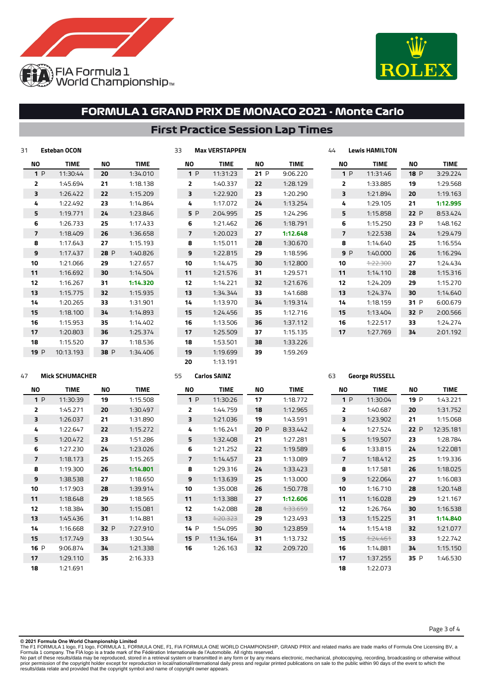



## **First Practice Session Lap Times**

| 31  | <b>Esteban OCON</b> |      |             | 33 |     | <b>Max VERSTAPPEN</b> |     |             | 44 |              | <b>Lewis HAMILTON</b> |      |             |
|-----|---------------------|------|-------------|----|-----|-----------------------|-----|-------------|----|--------------|-----------------------|------|-------------|
| NO  | <b>TIME</b>         | ΝO   | <b>TIME</b> |    | ΝO  | <b>TIME</b>           | NO  | <b>TIME</b> |    | ΝO           | <b>TIME</b>           | ΝO   | <b>TIME</b> |
| 1P  | 11:30:44            | 20   | 1:34.010    |    | 1P  | 11:31:23              | 21P | 9:06.220    |    | 1P           | 11:31:46              | 18P  | 3:29.224    |
| 2   | 1:45.694            | 21   | 1:18.138    |    | 2   | 1:40.337              | 22  | 1:28.129    |    | $\mathbf{z}$ | 1:33.885              | 19   | 1:29.568    |
| 3   | 1:26.422            | 22   | 1:15.209    |    | 3   | 1:22.920              | 23  | 1:20.290    |    | 3            | 1:21.894              | 20   | 1:19.163    |
| 4   | 1:22.492            | 23   | 1:14.864    |    | 4   | 1:17.072              | 24  | 1:13.254    |    | 4            | 1:29.105              | 21   | 1:12.995    |
| 5   | 1:19.771            | 24   | 1:23.846    |    | 5 P | 2:04.995              | 25  | 1:24.296    |    | 5            | 1:15.858              | 22 P | 8:53.424    |
| 6   | 1:26.733            | 25   | 1:17.433    |    | 6   | 1:21.462              | 26  | 1:18.791    |    | 6            | 1:15.250              | 23 P | 1:48.162    |
| 7   | 1:18.409            | 26   | 1:36.658    |    | 7   | 1:20.023              | 27  | 1:12.648    |    | 7            | 1:22.538              | 24   | 1:29.479    |
| 8   | 1:17.643            | 27   | 1:15.193    |    | 8   | 1:15.011              | 28  | 1:30.670    |    | 8            | 1:14.640              | 25   | 1:16.554    |
| 9   | 1:17.437            | 28 P | 1:40.826    |    | 9   | 1:22.815              | 29  | 1:18.596    |    | 9P           | 1:40.000              | 26   | 1:16.294    |
| 10  | 1:21.066            | 29   | 1:27.657    |    | 10  | 1:14.475              | 30  | 1:12.800    |    | 10           | 4:22.300              | 27   | 1:24.434    |
| 11  | 1:16.692            | 30   | 1:14.504    |    | 11  | 1:21.576              | 31  | 1:29.571    |    | 11           | 1:14.110              | 28   | 1:15.316    |
| 12  | 1:16.267            | 31   | 1:14.320    |    | 12  | 1:14.221              | 32  | 1:21.676    |    | 12           | 1:24.209              | 29   | 1:15.270    |
| 13  | 1:15.775            | 32   | 1:15.935    |    | 13  | 1:34.344              | 33  | 1:41.688    |    | 13           | 1:24.374              | 30   | 1:14.640    |
| 14  | 1:20.265            | 33   | 1:31.901    |    | 14  | 1:13.970              | 34  | 1:19.314    |    | 14           | 1:18.159              | 31 P | 6:00.679    |
| 15  | 1:18.100            | 34   | 1:14.893    |    | 15  | 1:24.456              | 35  | 1:12.716    |    | 15           | 1:13.404              | 32 P | 2:00.566    |
| 16  | 1:15.953            | 35   | 1:14.402    |    | 16  | 1:13.506              | 36  | 1:37.112    |    | 16           | 1:22.517              | 33   | 1:24.274    |
| 17  | 1:20.803            | 36   | 1:25.374    |    | 17  | 1:25.509              | 37  | 1:15.135    |    | 17           | 1:27.769              | 34   | 2:01.192    |
| 18  | 1:15.520            | 37   | 1:18.536    |    | 18  | 1:53.501              | 38  | 1:33.226    |    |              |                       |      |             |
| 19P | 10:13.193           | 38 P | 1:34.406    |    | 19  | 1:19.699              | 39  | 1:59.269    |    |              |                       |      |             |

1:13.191

#### **Mick SCHUMACHER**

| NΟ             | <b>TIME</b> | NΟ   | TIME     |
|----------------|-------------|------|----------|
| 1P             | 11:30:39    | 19   | 1:15.508 |
| $\overline{2}$ | 1:45.271    | 20   | 1:30.497 |
| 3              | 1:26.037    | 21   | 1:31.890 |
| 4              | 1:22.647    | 22   | 1:15.272 |
| 5              | 1:20.472    | 23   | 1:51.286 |
| 6              | 1:27.230    | 24   | 1:23.026 |
| 7              | 1:18.173    | 25   | 1:15.265 |
| 8              | 1:19.300    | 26   | 1:14.801 |
| 9              | 1:38.538    | 27   | 1:18.650 |
| 10             | 1:17.903    | 28   | 1:39.914 |
| 11             | 1:18.648    | 29   | 1:18.565 |
| 12             | 1:18.384    | 30   | 1:15.081 |
| 13             | 1:45.436    | 31   | 1:14.881 |
| 14             | 1:16.668    | 32 P | 7:27.910 |
| 15             | 1:17.749    | 33   | 1:30.544 |
| 16 P           | 9:06.874    | 34   | 1:21.338 |
| 17             | 1:29.110    | 35   | 2:16.333 |
| 18             | 1:21.691    |      |          |

| 55             |      | Carlos SAINZ     |     |             |
|----------------|------|------------------|-----|-------------|
| NΟ             |      | <b>TIME</b>      | ΝO  | <b>TIME</b> |
|                | 1P   | 11:30:26         | 17  | 1:18.772    |
| $\overline{2}$ |      | 1:44.759         | 18  | 1:12.965    |
| 3              |      | 1:21.036         | 19  | 1:43.591    |
| 4              |      | 1:16.241         | 20P | 8:33.442    |
| 5              |      | 1:32.408         | 21  | 1:27.281    |
| 6              |      | 1:21.252         | 22  | 1:19.589    |
| 7              |      | 1:14.457         | 23  | 1:13.089    |
| 8              |      | 1:29.316         | 24  | 1:33.423    |
| 9              |      | 1:13.639         | 25  | 1:13.000    |
| 10             |      | 1:35.008         | 26  | 1:50.778    |
| 11             |      | 1:13.388         | 27  | 1:12.606    |
| 12             |      | 1:42.088         | 28  | 1.33.659    |
| 13             |      | <u> 1.20.323</u> | 29  | 1:23.493    |
| 14             | P    | 1:54.095         | 30  | 1:23.859    |
|                | 15 P | 11:34.164        | 31  | 1:13.732    |
| 16             |      | 1:26.163         | 32  | 2:09.720    |
|                |      |                  |     |             |

#### **NO TIME** P 1:43.221 1:31.752 1:15.068 P 12:35.181 1:28.784 1:22.081 1:19.336 1:18.025 1:16.083 1:20.148 1:21.167 1:16.538 **1:14.840** 1:21.077 1:22.742 1:15.150 P 1:46.530 **NO TIME** P 11:30:04 1:40.687 1:23.902 1:27.524 1:19.507 1:33.815 1:18.412 1:17.581 1:22.064 1:16.710 1:16.028 1:26.764 1:15.225 1:15.418 1:24.461 1:14.881 1:37.255 1:22.073

Page 3 of 4

**George RUSSELL**

**© 2021 Formula One World Championship Limited**